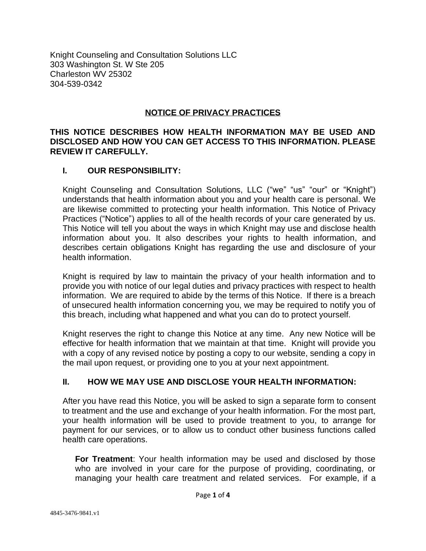Knight Counseling and Consultation Solutions LLC 303 Washington St. W Ste 205 Charleston WV 25302 304-539-0342

#### **NOTICE OF PRIVACY PRACTICES**

### **THIS NOTICE DESCRIBES HOW HEALTH INFORMATION MAY BE USED AND DISCLOSED AND HOW YOU CAN GET ACCESS TO THIS INFORMATION. PLEASE REVIEW IT CAREFULLY.**

### **I. OUR RESPONSIBILITY:**

Knight Counseling and Consultation Solutions, LLC ("we" "us" "our" or "Knight") understands that health information about you and your health care is personal. We are likewise committed to protecting your health information. This Notice of Privacy Practices ("Notice") applies to all of the health records of your care generated by us. This Notice will tell you about the ways in which Knight may use and disclose health information about you. It also describes your rights to health information, and describes certain obligations Knight has regarding the use and disclosure of your health information.

Knight is required by law to maintain the privacy of your health information and to provide you with notice of our legal duties and privacy practices with respect to health information. We are required to abide by the terms of this Notice. If there is a breach of unsecured health information concerning you, we may be required to notify you of this breach, including what happened and what you can do to protect yourself.

Knight reserves the right to change this Notice at any time. Any new Notice will be effective for health information that we maintain at that time. Knight will provide you with a copy of any revised notice by posting a copy to our website, sending a copy in the mail upon request, or providing one to you at your next appointment.

# **II. HOW WE MAY USE AND DISCLOSE YOUR HEALTH INFORMATION:**

After you have read this Notice, you will be asked to sign a separate form to consent to treatment and the use and exchange of your health information. For the most part, your health information will be used to provide treatment to you, to arrange for payment for our services, or to allow us to conduct other business functions called health care operations.

**For Treatment**: Your health information may be used and disclosed by those who are involved in your care for the purpose of providing, coordinating, or managing your health care treatment and related services. For example, if a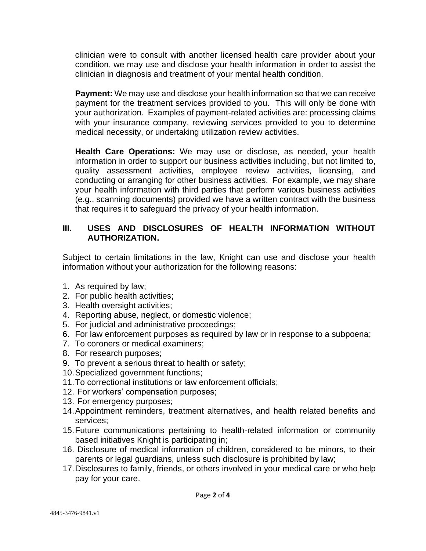clinician were to consult with another licensed health care provider about your condition, we may use and disclose your health information in order to assist the clinician in diagnosis and treatment of your mental health condition.

**Payment:** We may use and disclose your health information so that we can receive payment for the treatment services provided to you. This will only be done with your authorization. Examples of payment-related activities are: processing claims with your insurance company, reviewing services provided to you to determine medical necessity, or undertaking utilization review activities.

**Health Care Operations:** We may use or disclose, as needed, your health information in order to support our business activities including, but not limited to, quality assessment activities, employee review activities, licensing, and conducting or arranging for other business activities. For example, we may share your health information with third parties that perform various business activities (e.g., scanning documents) provided we have a written contract with the business that requires it to safeguard the privacy of your health information.

# **III. USES AND DISCLOSURES OF HEALTH INFORMATION WITHOUT AUTHORIZATION.**

Subject to certain limitations in the law, Knight can use and disclose your health information without your authorization for the following reasons:

- 1. As required by law;
- 2. For public health activities;
- 3. Health oversight activities;
- 4. Reporting abuse, neglect, or domestic violence;
- 5. For judicial and administrative proceedings;
- 6. For law enforcement purposes as required by law or in response to a subpoena;
- 7. To coroners or medical examiners;
- 8. For research purposes;
- 9. To prevent a serious threat to health or safety;
- 10.Specialized government functions;
- 11.To correctional institutions or law enforcement officials;
- 12. For workers' compensation purposes;
- 13. For emergency purposes;
- 14.Appointment reminders, treatment alternatives, and health related benefits and services;
- 15.Future communications pertaining to health-related information or community based initiatives Knight is participating in;
- 16. Disclosure of medical information of children, considered to be minors, to their parents or legal guardians, unless such disclosure is prohibited by law;
- 17.Disclosures to family, friends, or others involved in your medical care or who help pay for your care.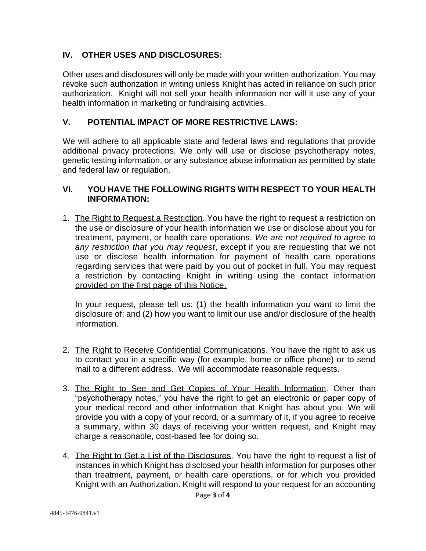# **IV. OTHER USES AND DISCLOSURES:**

Other uses and disclosures will only be made with your written authorization. You may revoke such authorization in writing unless Knight has acted in reliance on such prior authorization. Knight will not sell your health information nor will it use any of your health information in marketing or fundraising activities.

# **V. POTENTIAL IMPACT OF MORE RESTRICTIVE LAWS:**

We will adhere to all applicable state and federal laws and regulations that provide additional privacy protections. We only will use or disclose psychotherapy notes, genetic testing information, or any substance abuse information as permitted by state and federal law or regulation.

#### **VI. YOU HAVE THE FOLLOWING RIGHTS WITH RESPECT TO YOUR HEALTH INFORMATION:**

1. The Right to Request a Restriction. You have the right to request a restriction on the use or disclosure of your health information we use or disclose about you for treatment, payment, or health care operations. *We are not required to agree to any restriction that you may request*, except if you are requesting that we not use or disclose health information for payment of health care operations regarding services that were paid by you out of pocket in full. You may request a restriction by contacting Knight in writing using the contact information provided on the first page of this Notice.

In your request, please tell us: (1) the health information you want to limit the disclosure of; and (2) how you want to limit our use and/or disclosure of the health information.

- 2. The Right to Receive Confidential Communications. You have the right to ask us to contact you in a specific way (for example, home or office phone) or to send mail to a different address. We will accommodate reasonable requests.
- 3. The Right to See and Get Copies of Your Health Information. Other than "psychotherapy notes," you have the right to get an electronic or paper copy of your medical record and other information that Knight has about you. We will provide you with a copy of your record, or a summary of it, if you agree to receive a summary, within 30 days of receiving your written request, and Knight may charge a reasonable, cost-based fee for doing so.
- 4. The Right to Get a List of the Disclosures. You have the right to request a list of instances in which Knight has disclosed your health information for purposes other than treatment, payment, or health care operations, or for which you provided Knight with an Authorization. Knight will respond to your request for an accounting